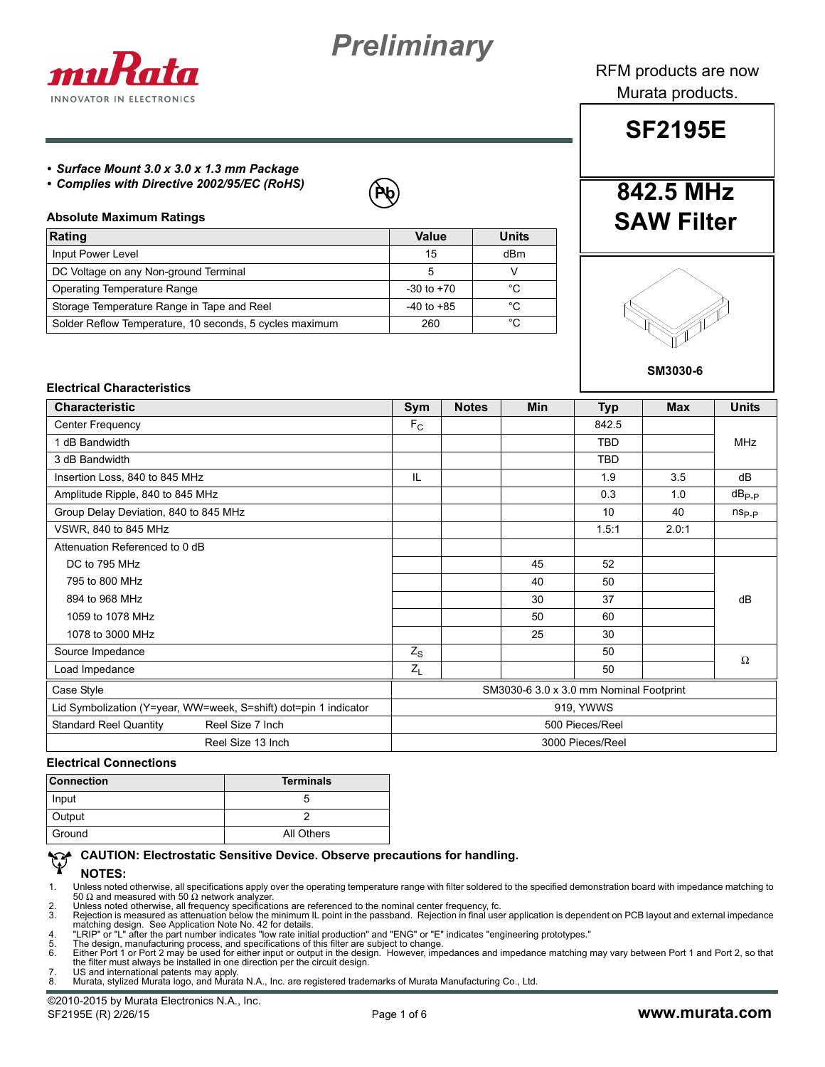



RFM products are now Murata products.

#### *• Surface Mount 3.0 x 3.0 x 1.3 mm Package*

*• Complies with Directive 2002/95/EC (RoHS)*



#### **Absolute Maximum Ratings**

| Rating                                                  | Value          | <b>Units</b> |
|---------------------------------------------------------|----------------|--------------|
| Input Power Level                                       | 15             | dBm          |
| DC Voltage on any Non-ground Terminal                   | 5              |              |
| <b>Operating Temperature Range</b>                      | $-30$ to $+70$ | °C           |
| Storage Temperature Range in Tape and Reel              | $-40$ to $+85$ | °C           |
| Solder Reflow Temperature, 10 seconds, 5 cycles maximum | 260            | °C           |



**842.5 MHz**

**SF2195E**

**SAW Filter**

**SM3030-6**

### **Electrical Characteristics**

| <b>Characteristic</b>                                            |                                         | <b>Notes</b> | <b>Min</b> | <b>Typ</b> | <b>Max</b> | <b>Units</b>   |
|------------------------------------------------------------------|-----------------------------------------|--------------|------------|------------|------------|----------------|
| Center Frequency                                                 |                                         |              |            | 842.5      |            |                |
| 1 dB Bandwidth                                                   |                                         |              |            | <b>TBD</b> |            | <b>MHz</b>     |
| 3 dB Bandwidth                                                   |                                         |              |            | <b>TBD</b> |            |                |
| Insertion Loss, 840 to 845 MHz                                   | IL                                      |              |            | 1.9        | 3.5        | dB             |
| Amplitude Ripple, 840 to 845 MHz                                 |                                         |              |            | 0.3        | 1.0        | $dB_{P-P}$     |
| Group Delay Deviation, 840 to 845 MHz                            |                                         |              |            | 10         | 40         | $n_{\rm Sp,p}$ |
| VSWR, 840 to 845 MHz                                             |                                         |              |            | 1.5:1      | 2.0:1      |                |
| Attenuation Referenced to 0 dB                                   |                                         |              |            |            |            |                |
| DC to 795 MHz                                                    |                                         |              | 45         | 52         |            |                |
| 795 to 800 MHz                                                   |                                         |              | 40         | 50         |            |                |
| 894 to 968 MHz                                                   |                                         |              | 30         | 37         |            | dB             |
| 1059 to 1078 MHz                                                 |                                         |              | 50         | 60         |            |                |
| 1078 to 3000 MHz                                                 |                                         |              | 25         | 30         |            |                |
| Source Impedance                                                 |                                         |              |            | 50         |            | $\Omega$       |
| Load Impedance                                                   |                                         |              |            | 50         |            |                |
| Case Style                                                       | SM3030-6 3.0 x 3.0 mm Nominal Footprint |              |            |            |            |                |
| Lid Symbolization (Y=year, WW=week, S=shift) dot=pin 1 indicator | 919, YWWS                               |              |            |            |            |                |
| <b>Standard Reel Quantity</b><br>Reel Size 7 Inch                | 500 Pieces/Reel                         |              |            |            |            |                |
| Reel Size 13 Inch                                                | 3000 Pieces/Reel                        |              |            |            |            |                |

#### **Electrical Connections**

| <b>Connection</b> | <b>Terminals</b> |
|-------------------|------------------|
| Input             |                  |
| Output            |                  |
| Ground            | All Others       |

#### **CAUTION: Electrostatic Sensitive Device. Observe precautions for handling.**

#### **NOTES:**

1. Unless noted otherwise, all specifications apply over the operating temperature range with filter soldered to the specified demonstration board with impedance matching to<br>50 Ω and measured with 50 Ω network analyzer.<br>

matching design. See Application Note No. 42 for details.<br>4. "LRIP" or "L" after the part number indicates "low rate initial production" and "ENG" or "E" indicates "engineering prototypes."<br>5. The design, manufact

the filter must always be installed in one direction per the circuit design. 7. US and international patents may apply.

8. Murata, stylized Murata logo, and Murata N.A., Inc. are registered trademarks of Murata Manufacturing Co., Ltd.

©2010-2015 by Murata Electronics N.A., Inc. SF2195E (R) 2/26/15 Page 1 of 6 **www.murata.com**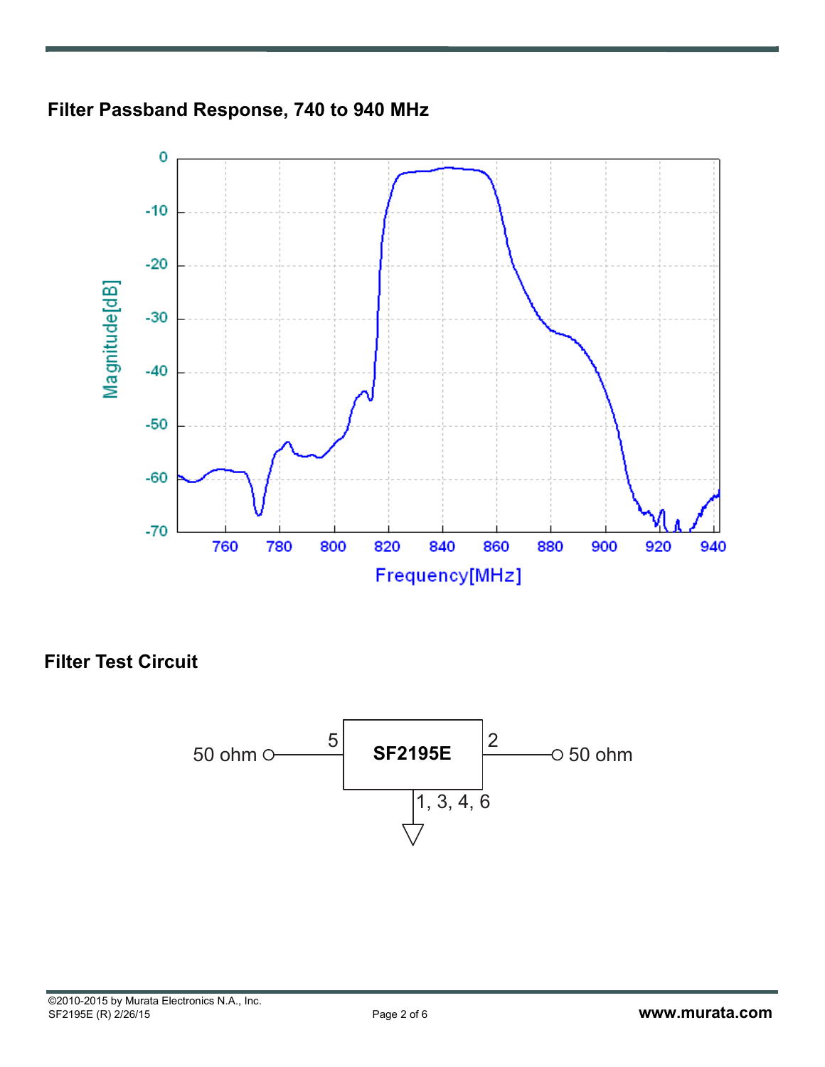



**Filter Test Circuit**

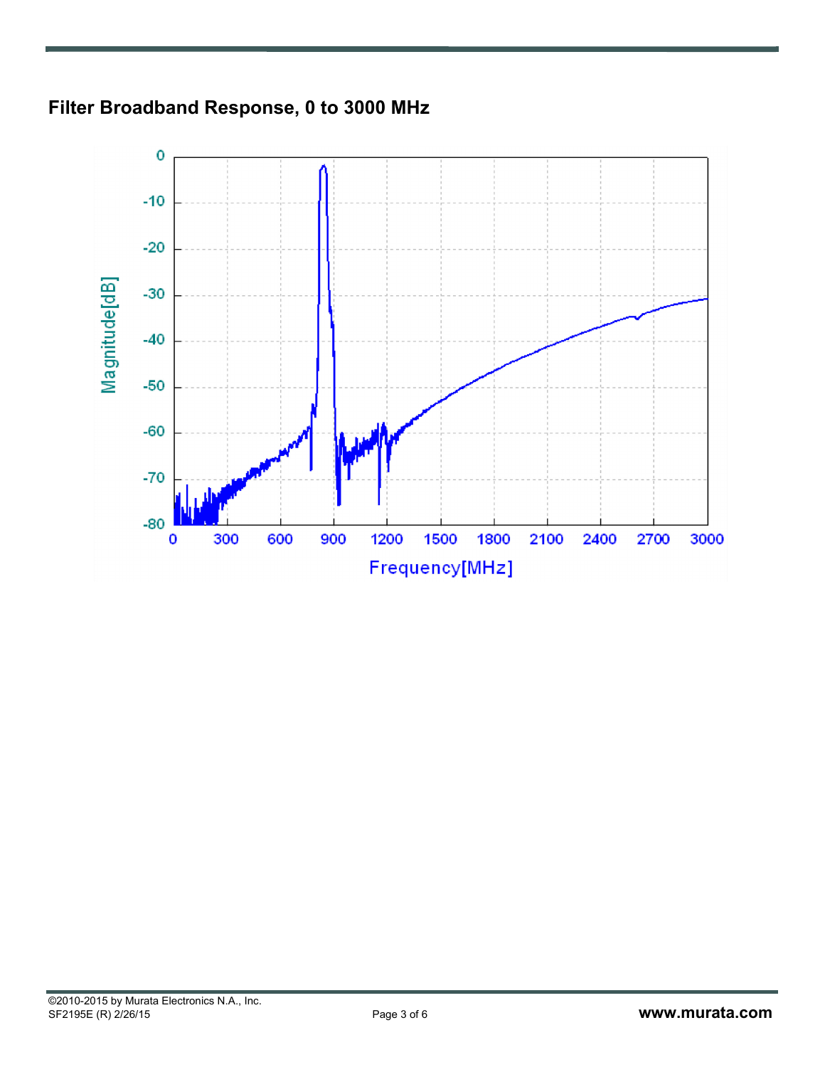

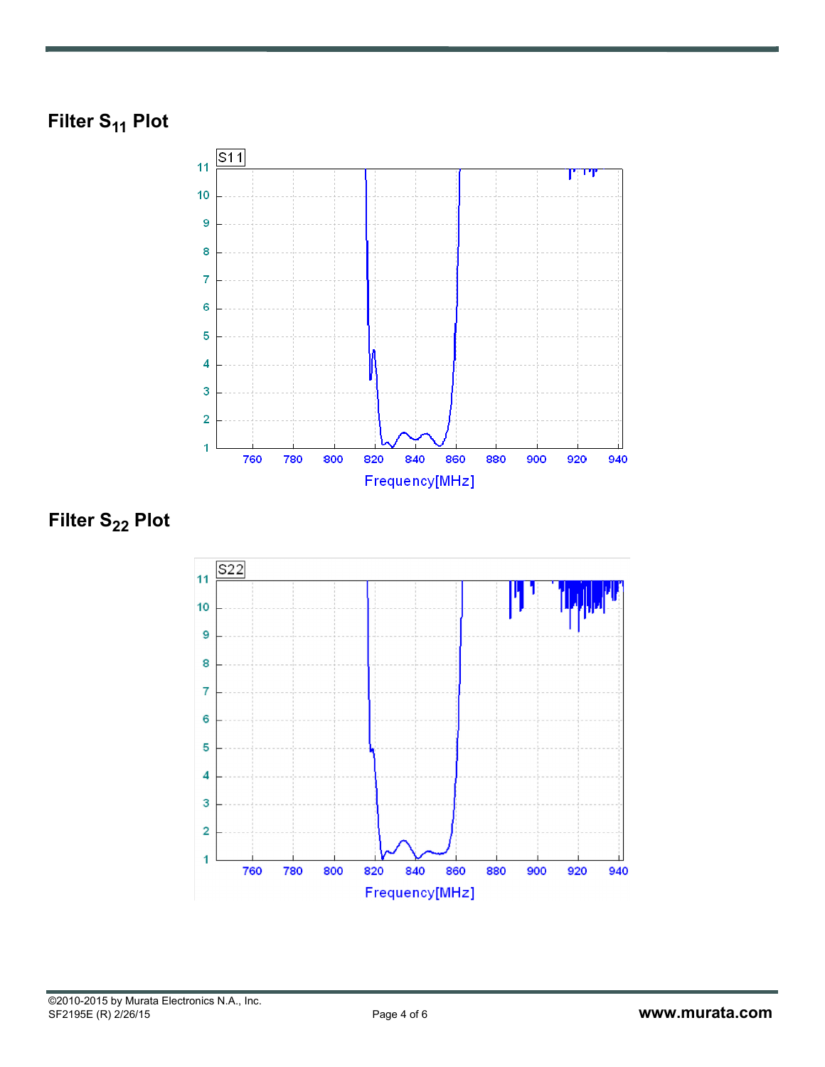



**Filter S<sub>22</sub> Plot** 

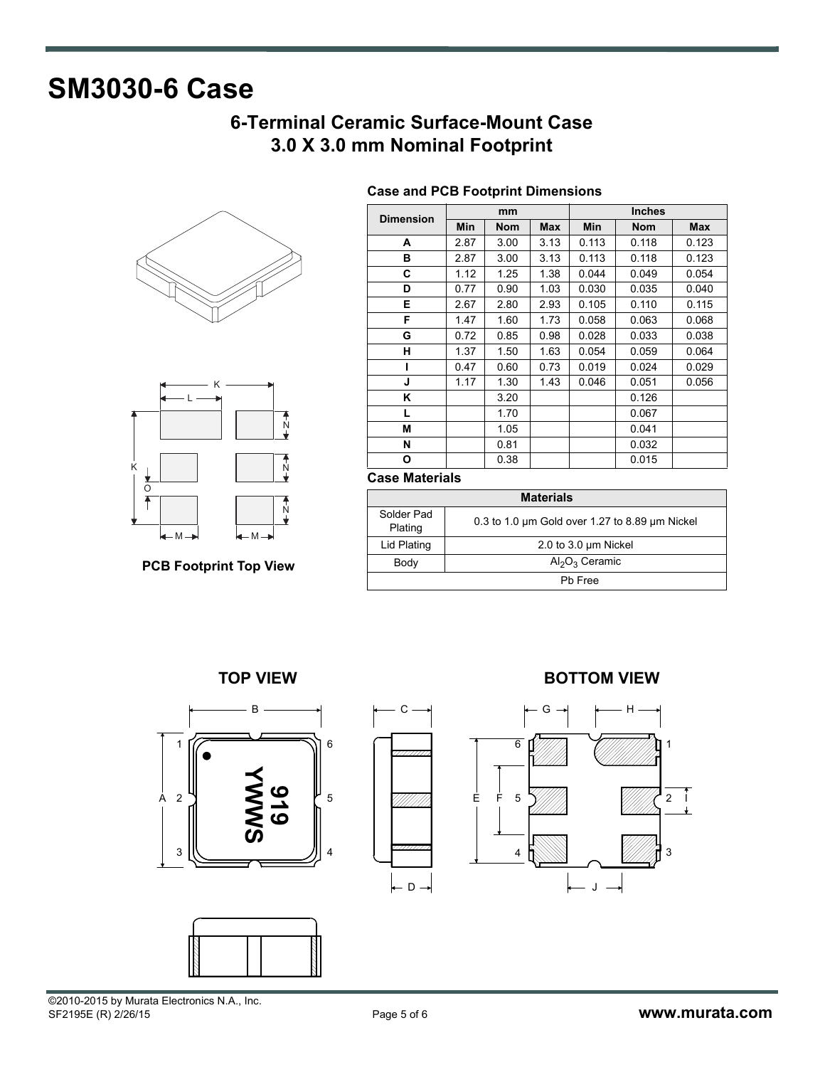# **SM3030-6 Case**

# **6-Terminal Ceramic Surface-Mount Case 3.0 X 3.0 mm Nominal Footprint**





**PCB Footprint Top View**

| <b>Dimension</b> | mm   |            |            | <b>Inches</b> |            |       |  |
|------------------|------|------------|------------|---------------|------------|-------|--|
|                  | Min  | <b>Nom</b> | <b>Max</b> | Min           | <b>Nom</b> | Max   |  |
| A                | 2.87 | 3.00       | 3.13       | 0.113         | 0.118      | 0.123 |  |
| в                | 2.87 | 3.00       | 3.13       | 0.113         | 0.118      | 0.123 |  |
| C                | 1.12 | 1.25       | 1.38       | 0.044         | 0.049      | 0.054 |  |
| D                | 0.77 | 0.90       | 1.03       | 0.030         | 0.035      | 0.040 |  |
| Е                | 2.67 | 2.80       | 2.93       | 0.105         | 0.110      | 0.115 |  |
| F                | 1.47 | 1.60       | 1.73       | 0.058         | 0.063      | 0.068 |  |
| G                | 0.72 | 0.85       | 0.98       | 0.028         | 0.033      | 0.038 |  |
| н                | 1.37 | 1.50       | 1.63       | 0.054         | 0.059      | 0.064 |  |
|                  | 0.47 | 0.60       | 0.73       | 0.019         | 0.024      | 0.029 |  |
| J                | 1.17 | 1.30       | 1.43       | 0.046         | 0.051      | 0.056 |  |
| Κ                |      | 3.20       |            |               | 0.126      |       |  |
| L                |      | 1.70       |            |               | 0.067      |       |  |
| М                |      | 1.05       |            |               | 0.041      |       |  |
| N                |      | 0.81       |            |               | 0.032      |       |  |
| O                |      | 0.38       |            |               | 0.015      |       |  |

# **Case and PCB Footprint Dimensions**

## **Case Materials**

| <b>Materials</b>      |                                                          |  |  |  |
|-----------------------|----------------------------------------------------------|--|--|--|
| Solder Pad<br>Plating | 0.3 to 1.0 $\mu$ m Gold over 1.27 to 8.89 $\mu$ m Nickel |  |  |  |
| Lid Plating           | 2.0 to 3.0 $\mu$ m Nickel                                |  |  |  |
| Body                  | $Al_2O_3$ Ceramic                                        |  |  |  |
| Ph Free               |                                                          |  |  |  |







# **TOP VIEW BOTTOM VIEW**



©2010-2015 by Murata Electronics N.A., Inc.<br>SF2195E (R) 2/26/15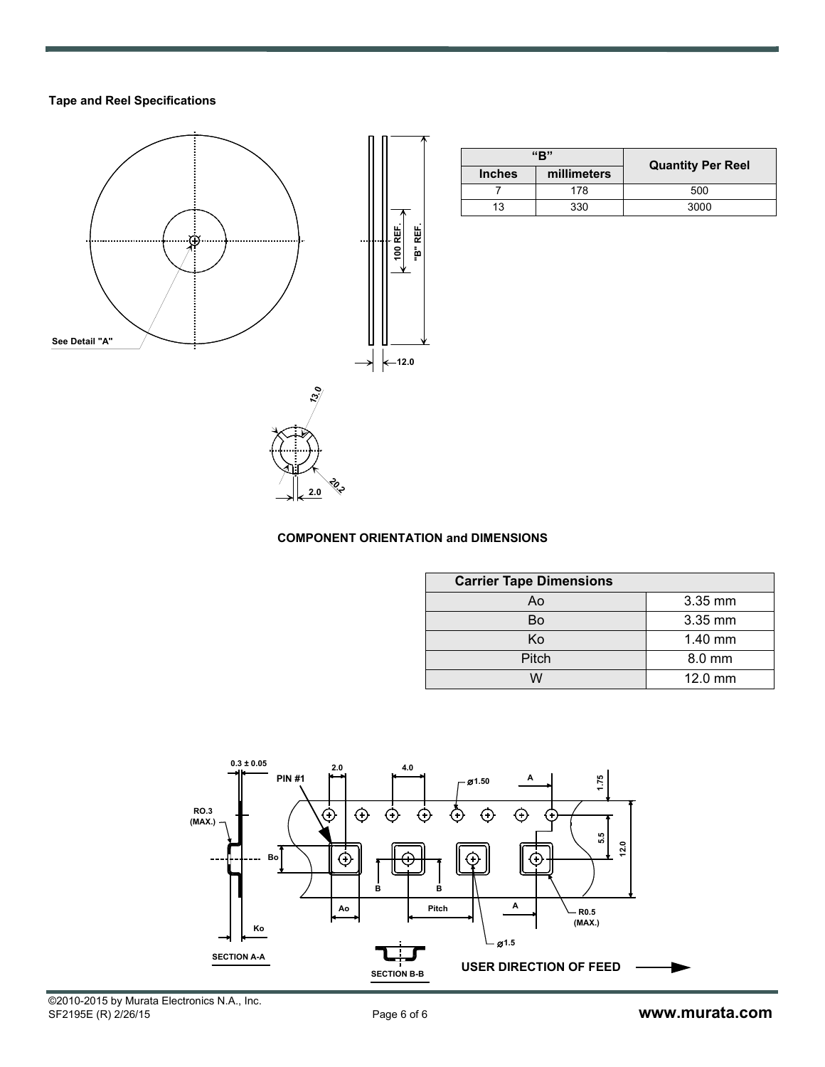# **Tape and Reel Specifications**



| "R"           |             | <b>Quantity Per Reel</b> |  |
|---------------|-------------|--------------------------|--|
| <b>Inches</b> | millimeters |                          |  |
|               | 178         | 500                      |  |
| 13            | 330         | 3000                     |  |

## **COMPONENT ORIENTATION and DIMENSIONS**

**20.2 2.0**

| <b>Carrier Tape Dimensions</b> |         |  |  |  |  |
|--------------------------------|---------|--|--|--|--|
| Ao                             | 3.35 mm |  |  |  |  |
| Bo                             | 3.35 mm |  |  |  |  |
| Κo                             | 1.40 mm |  |  |  |  |
| Pitch                          | 8.0 mm  |  |  |  |  |
| ៶៱៸                            | 12.0 mm |  |  |  |  |